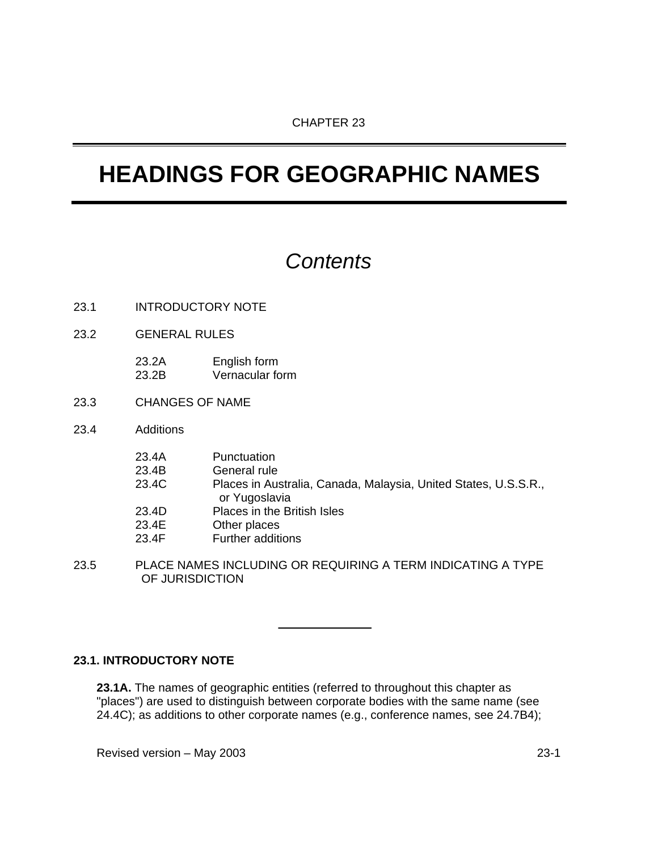# **HEADINGS FOR GEOGRAPHIC NAMES**

## *Contents*

- 23.1 INTRODUCTORY NOTE
- 23.2 GENERAL RULES
	- 23.2A English form 23.2B Vernacular form
- 23.3 CHANGES OF NAME
- 23.4 Additions

| 23.4A | Punctuation                                                                      |
|-------|----------------------------------------------------------------------------------|
| 23.4B | General rule                                                                     |
| 23.4C | Places in Australia, Canada, Malaysia, United States, U.S.S.R.,<br>or Yugoslavia |
| 23.4D | Places in the British Isles                                                      |
| 23.4E | Other places                                                                     |
| 23.4F | Further additions                                                                |

23.5 PLACE NAMES INCLUDING OR REQUIRING A TERM INDICATING A TYPE OF JURISDICTION

#### **23.1. INTRODUCTORY NOTE**

**23.1A.** The names of geographic entities (referred to throughout this chapter as "places") are used to distinguish between corporate bodies with the same name (see 24.4C); as additions to other corporate names (e.g., conference names, see 24.7B4);

Revised version – May 2003 23-1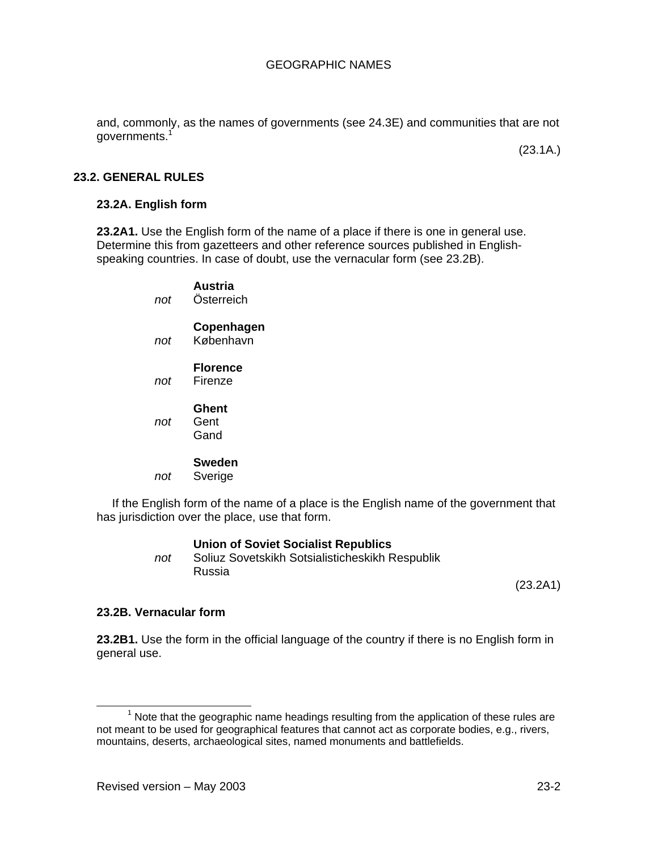and, commonly, as the names of governments (see 24.3E) and communities that are not governments.<sup>1</sup>

(23.1A.)

#### **23.2. GENERAL RULES**

#### **23.2A. English form**

**23.2A1.** Use the English form of the name of a place if there is one in general use. Determine this from gazetteers and other reference sources published in Englishspeaking countries. In case of doubt, use the vernacular form (see 23.2B).

## **Austria**

 *not* Österreich

#### **Copenhagen**

 *not* København

#### **Florence**

 *not* Firenze

#### **Ghent**

 *not* Gent Gand

#### **Sweden**

 *not* Sverige

If the English form of the name of a place is the English name of the government that has jurisdiction over the place, use that form.

#### **Union of Soviet Socialist Republics**

 *not* Soliuz Sovetskikh Sotsialisticheskikh Respublik Russia

(23.2A1)

#### **23.2B. Vernacular form**

**23.2B1.** Use the form in the official language of the country if there is no English form in general use.

 $\overline{\phantom{a}}$  $<sup>1</sup>$  Note that the geographic name headings resulting from the application of these rules are</sup> not meant to be used for geographical features that cannot act as corporate bodies, e.g., rivers, mountains, deserts, archaeological sites, named monuments and battlefields.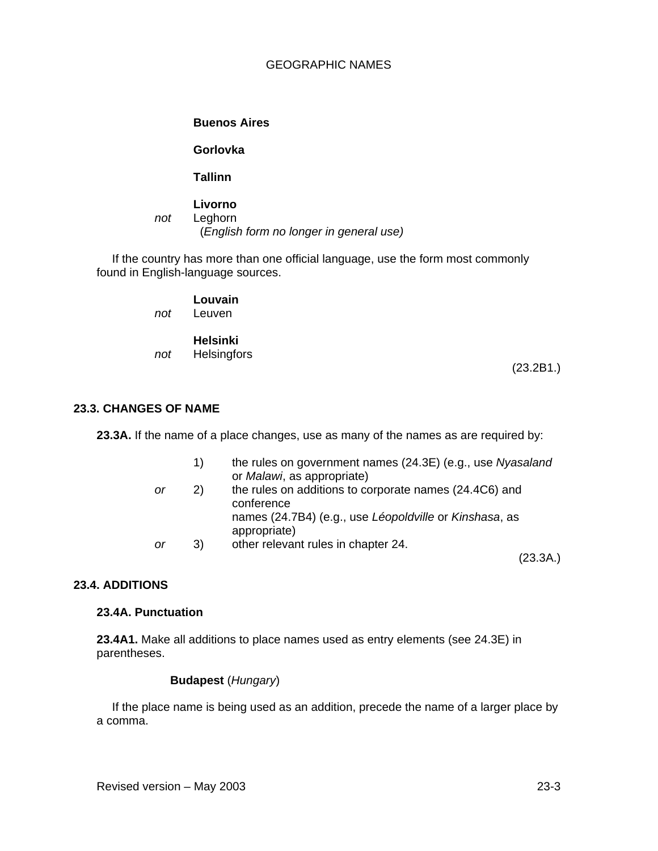#### **Buenos Aires**

#### **Gorlovka**

## **Tallinn**

## **Livorno**

 *not* Leghorn (*English form no longer in general use)*

If the country has more than one official language, use the form most commonly found in English-language sources.

## **Louvain**

 *not* Leuven

#### **Helsinki**   *not* Helsingfors

(23.2B1.)

## **23.3. CHANGES OF NAME**

**23.3A.** If the name of a place changes, use as many of the names as are required by:

|    | 1) | the rules on government names (24.3E) (e.g., use Nyasaland<br>or Malawi, as appropriate) |
|----|----|------------------------------------------------------------------------------------------|
| or | 2) | the rules on additions to corporate names (24.4C6) and<br>conference                     |
|    |    | names (24.7B4) (e.g., use Léopoldville or Kinshasa, as<br>appropriate)                   |
| or | 3) | other relevant rules in chapter 24.                                                      |

(23.3A.)

## **23.4. ADDITIONS**

#### **23.4A. Punctuation**

**23.4A1.** Make all additions to place names used as entry elements (see 24.3E) in parentheses.

## **Budapest** (*Hungary*)

If the place name is being used as an addition, precede the name of a larger place by a comma.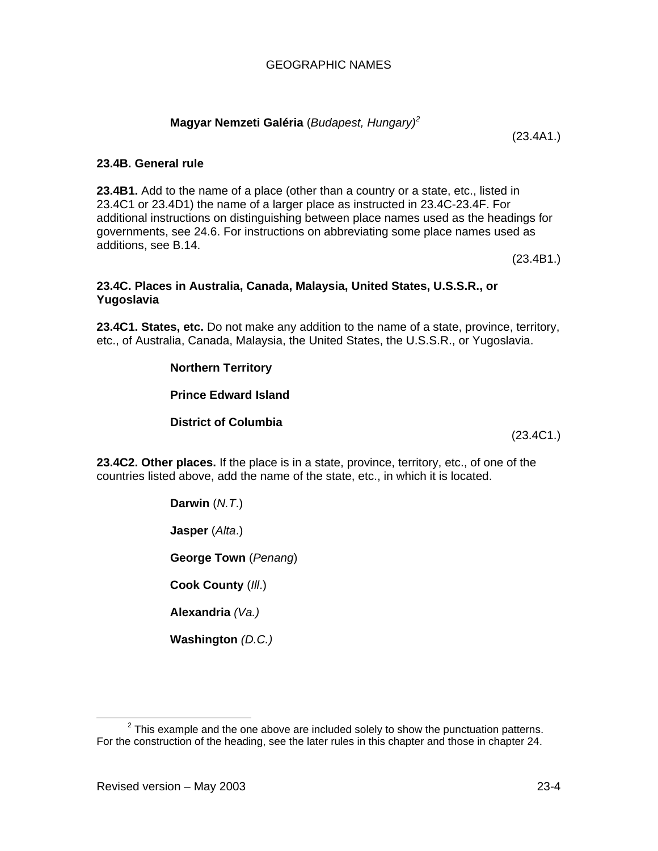## **Magyar Nemzeti Galéria** (*Budapest, Hungary)2*

**23.4B. General rule** 

**23.4B1.** Add to the name of a place (other than a country or a state, etc., listed in 23.4C1 or 23.4D1) the name of a larger place as instructed in 23.4C-23.4F. For additional instructions on distinguishing between place names used as the headings for governments, see 24.6. For instructions on abbreviating some place names used as additions, see B.14.

(23.4B1.)

#### **23.4C. Places in Australia, Canada, Malaysia, United States, U.S.S.R., or Yugoslavia**

**23.4C1. States, etc.** Do not make any addition to the name of a state, province, territory, etc., of Australia, Canada, Malaysia, the United States, the U.S.S.R., or Yugoslavia.

#### **Northern Territory**

**Prince Edward Island** 

**District of Columbia** 

(23.4C1.)

**23.4C2. Other places.** If the place is in a state, province, territory, etc., of one of the countries listed above, add the name of the state, etc., in which it is located.

**Darwin** (*N.T*.)

**Jasper** (*Alta*.)

**George Town** (*Penang*)

**Cook County** (*Ill*.)

**Alexandria** *(Va.)* 

**Washington** *(D.C.)* 

(23.4A1.)

<sup>2</sup>  $2$  This example and the one above are included solely to show the punctuation patterns. For the construction of the heading, see the later rules in this chapter and those in chapter 24.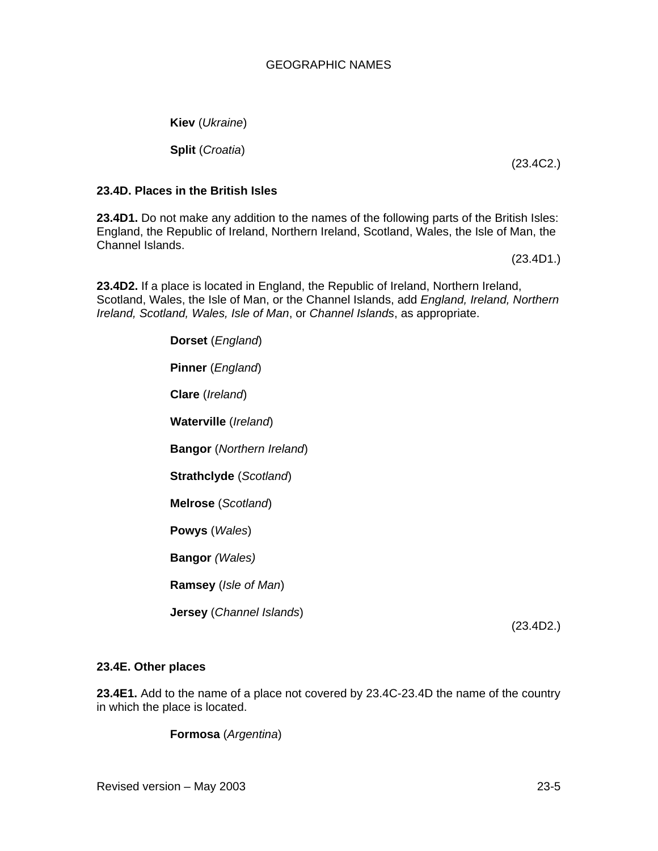**Kiev** (*Ukraine*)

**Split** (*Croatia*)

(23.4C2.)

## **23.4D. Places in the British Isles**

**23.4D1.** Do not make any addition to the names of the following parts of the British Isles: England, the Republic of Ireland, Northern Ireland, Scotland, Wales, the Isle of Man, the Channel Islands.

(23.4D1.)

**23.4D2.** If a place is located in England, the Republic of Ireland, Northern Ireland, Scotland, Wales, the Isle of Man, or the Channel Islands, add *England, Ireland, Northern Ireland, Scotland, Wales, Isle of Man*, or *Channel Islands*, as appropriate.

> **Dorset** (*England*) **Pinner** (*England*) **Clare** (*Ireland*) **Waterville** (*Ireland*) **Bangor** (*Northern Ireland*) **Strathclyde** (*Scotland*) **Melrose** (*Scotland*) **Powys** (*Wales*) **Bangor** *(Wales)*  **Ramsey** (*Isle of Man*) **Jersey** (*Channel Islands*)

(23.4D2.)

## **23.4E. Other places**

**23.4E1.** Add to the name of a place not covered by 23.4C-23.4D the name of the country in which the place is located.

**Formosa** (*Argentina*)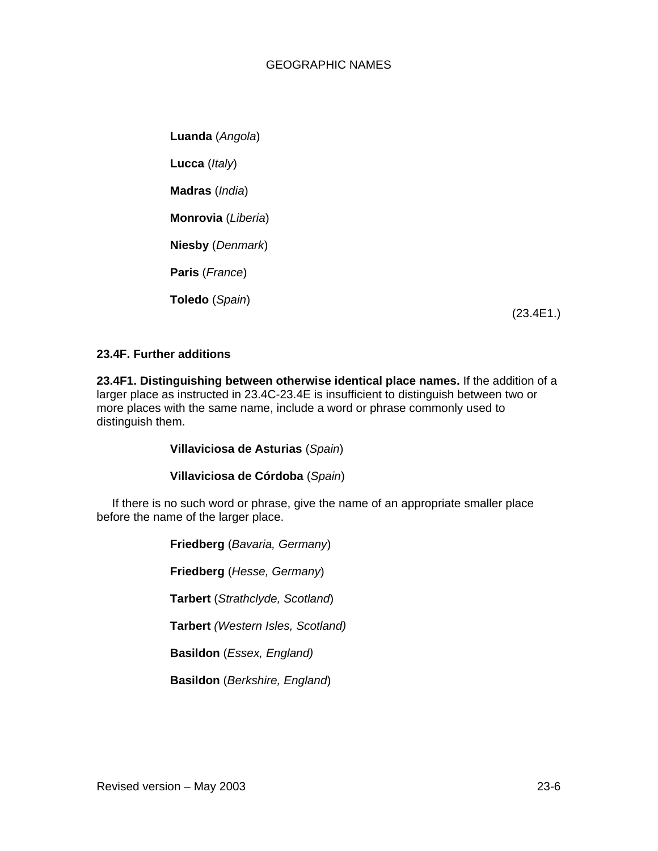## GEOGRAPHIC NAMES

**Luanda** (*Angola*) **Lucca** (*Italy*) **Madras** (*India*) **Monrovia** (*Liberia*) **Niesby** (*Denmark*) **Paris** (*France*) **Toledo** (*Spain*)

(23.4E1.)

#### **23.4F. Further additions**

**23.4F1. Distinguishing between otherwise identical place names.** If the addition of a larger place as instructed in 23.4C-23.4E is insufficient to distinguish between two or more places with the same name, include a word or phrase commonly used to distinguish them.

**Villaviciosa de Asturias** (*Spain*)

**Villaviciosa de Córdoba** (*Spain*)

If there is no such word or phrase, give the name of an appropriate smaller place before the name of the larger place.

> **Friedberg** (*Bavaria, Germany*) **Friedberg** (*Hesse, Germany*) **Tarbert** (*Strathclyde, Scotland*) **Tarbert** *(Western Isles, Scotland)*  **Basildon** (*Essex, England)*  **Basildon** (*Berkshire, England*)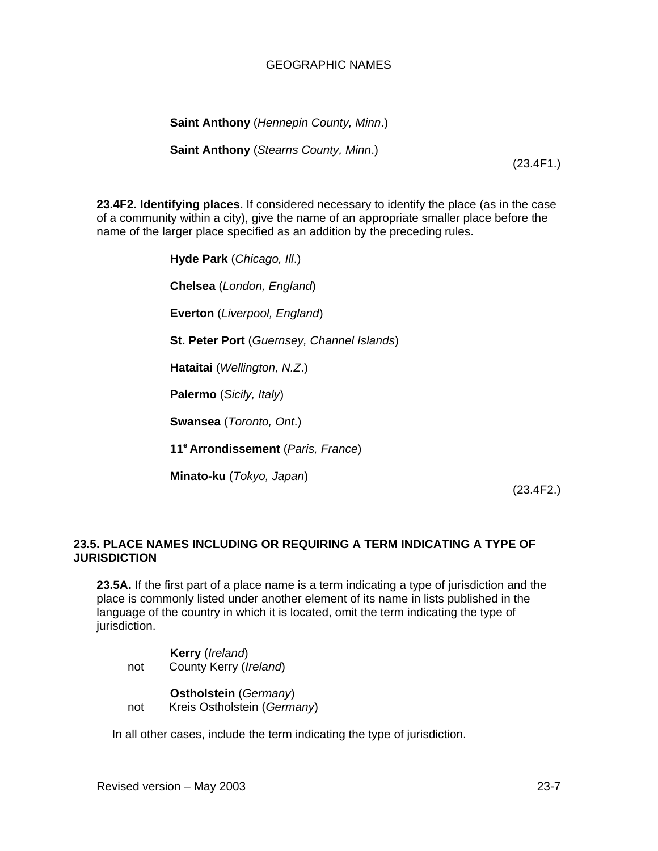## GEOGRAPHIC NAMES

**Saint Anthony** (*Hennepin County, Minn*.)

**Saint Anthony** (*Stearns County, Minn*.)

(23.4F1.)

**23.4F2. Identifying places.** If considered necessary to identify the place (as in the case of a community within a city), give the name of an appropriate smaller place before the name of the larger place specified as an addition by the preceding rules.

> **Hyde Park** (*Chicago, Ill*.) **Chelsea** (*London, England*) **Everton** (*Liverpool, England*) **St. Peter Port** (*Guernsey, Channel Islands*) **Hataitai** (*Wellington, N.Z*.) **Palermo** (*Sicily, Italy*) **Swansea** (*Toronto, Ont*.) **11e Arrondissement** (*Paris, France*) **Minato-ku** (*Tokyo, Japan*)

> > (23.4F2.)

## **23.5. PLACE NAMES INCLUDING OR REQUIRING A TERM INDICATING A TYPE OF JURISDICTION**

**23.5A.** If the first part of a place name is a term indicating a type of jurisdiction and the place is commonly listed under another element of its name in lists published in the language of the country in which it is located, omit the term indicating the type of jurisdiction.

**Kerry** (*Ireland*) not County Kerry (*Ireland*)

## **Ostholstein** (*Germany*)

not Kreis Ostholstein (*Germany*)

In all other cases, include the term indicating the type of jurisdiction.